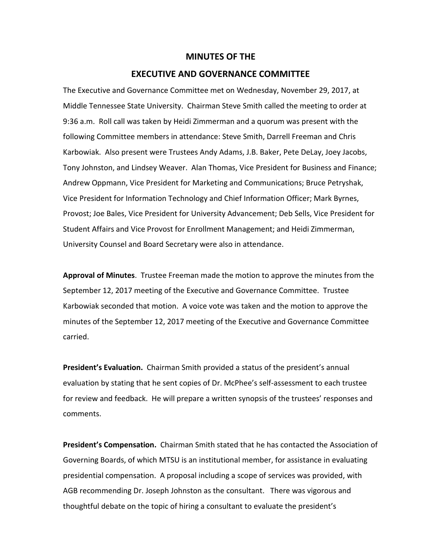## **MINUTES OF THE**

## **EXECUTIVE AND GOVERNANCE COMMITTEE**

The Executive and Governance Committee met on Wednesday, November 29, 2017, at Middle Tennessee State University. Chairman Steve Smith called the meeting to order at 9:36 a.m. Roll call was taken by Heidi Zimmerman and a quorum was present with the following Committee members in attendance: Steve Smith, Darrell Freeman and Chris Karbowiak. Also present were Trustees Andy Adams, J.B. Baker, Pete DeLay, Joey Jacobs, Tony Johnston, and Lindsey Weaver. Alan Thomas, Vice President for Business and Finance; Andrew Oppmann, Vice President for Marketing and Communications; Bruce Petryshak, Vice President for Information Technology and Chief Information Officer; Mark Byrnes, Provost; Joe Bales, Vice President for University Advancement; Deb Sells, Vice President for Student Affairs and Vice Provost for Enrollment Management; and Heidi Zimmerman, University Counsel and Board Secretary were also in attendance.

**Approval of Minutes**. Trustee Freeman made the motion to approve the minutes from the September 12, 2017 meeting of the Executive and Governance Committee. Trustee Karbowiak seconded that motion. A voice vote was taken and the motion to approve the minutes of the September 12, 2017 meeting of the Executive and Governance Committee carried.

**President's Evaluation.** Chairman Smith provided a status of the president's annual evaluation by stating that he sent copies of Dr. McPhee's self-assessment to each trustee for review and feedback. He will prepare a written synopsis of the trustees' responses and comments.

**President's Compensation.** Chairman Smith stated that he has contacted the Association of Governing Boards, of which MTSU is an institutional member, for assistance in evaluating presidential compensation. A proposal including a scope of services was provided, with AGB recommending Dr. Joseph Johnston as the consultant. There was vigorous and thoughtful debate on the topic of hiring a consultant to evaluate the president's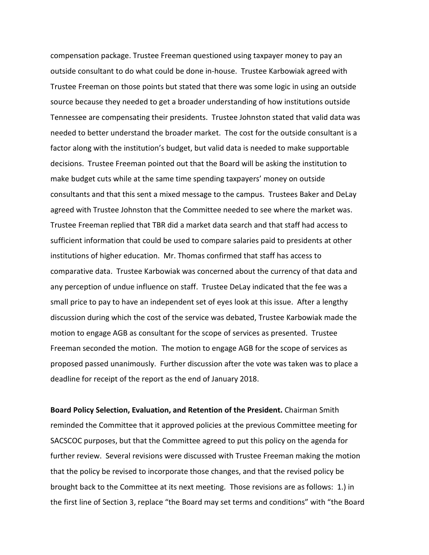compensation package. Trustee Freeman questioned using taxpayer money to pay an outside consultant to do what could be done in-house. Trustee Karbowiak agreed with Trustee Freeman on those points but stated that there was some logic in using an outside source because they needed to get a broader understanding of how institutions outside Tennessee are compensating their presidents. Trustee Johnston stated that valid data was needed to better understand the broader market. The cost for the outside consultant is a factor along with the institution's budget, but valid data is needed to make supportable decisions. Trustee Freeman pointed out that the Board will be asking the institution to make budget cuts while at the same time spending taxpayers' money on outside consultants and that this sent a mixed message to the campus. Trustees Baker and DeLay agreed with Trustee Johnston that the Committee needed to see where the market was. Trustee Freeman replied that TBR did a market data search and that staff had access to sufficient information that could be used to compare salaries paid to presidents at other institutions of higher education. Mr. Thomas confirmed that staff has access to comparative data. Trustee Karbowiak was concerned about the currency of that data and any perception of undue influence on staff. Trustee DeLay indicated that the fee was a small price to pay to have an independent set of eyes look at this issue. After a lengthy discussion during which the cost of the service was debated, Trustee Karbowiak made the motion to engage AGB as consultant for the scope of services as presented. Trustee Freeman seconded the motion. The motion to engage AGB for the scope of services as proposed passed unanimously. Further discussion after the vote was taken was to place a deadline for receipt of the report as the end of January 2018.

**Board Policy Selection, Evaluation, and Retention of the President.** Chairman Smith reminded the Committee that it approved policies at the previous Committee meeting for SACSCOC purposes, but that the Committee agreed to put this policy on the agenda for further review. Several revisions were discussed with Trustee Freeman making the motion that the policy be revised to incorporate those changes, and that the revised policy be brought back to the Committee at its next meeting. Those revisions are as follows: 1.) in the first line of Section 3, replace "the Board may set terms and conditions" with "the Board